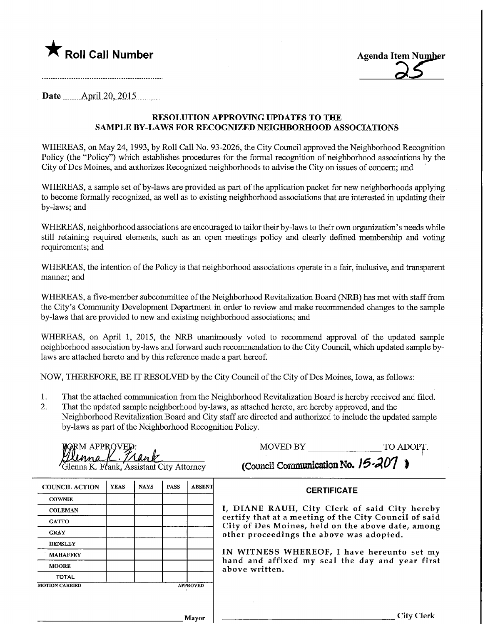



Date <u>April 20, 2015</u>.

# RESOLUTION APPROVmG UPDATES TO THE SAMPLE BY-LAWS FOR RECOGNIZED NEIGHBORHOOD ASSOCIATIONS

WHEREAS, on May 24, 1993, by Roll Call No. 93-2026, the City Council approved the Neighborhood Recognition Policy (the "Policy") which establishes procedures for the formal recognition of neighborhood associations by the City of Des Moines, and authorizes Recognized neighborhoods to advise the City on issues of concern; and

WHEREAS, a sample set of by-laws are provided as part of the application packet for new neighborhoods applying to become formally recognized, as well as to existing neighborhood associations that are interested in updating their by-laws; and

WHEREAS, neighborhood associations are encouraged to tailor their by-laws to their own organization's needs while still retaining required elements, such as an open meetings policy and clearly defined membership and voting requirements; and

WHEREAS, the intention of the Policy is that neighborhood associations operate in a fair, inclusive, and transparent manner; and

WHEREAS, a five-member subcommittee of the Neighborhood Revitalization Board (NRB) has met with staff from the City's Community Development Department m order to review and make recommended changes to the sample by-laws that are provided to new and existing neighborhood associations; and

WHEREAS, on April 1, 2015, the NRB unanimously voted to recommend approval of the updated sample neighborhood association by-laws and forward such recommendation to the City Council, which updated sample bylaws are attached hereto and by this reference made a part hereof.

NOW, THEREFORE, BE IT RESOLVED by the City Council of the City of Des Moines, Iowa, as follows:

- 1. That the attached commumcation from the Neighborhood Revitalization Board is hereby received and filed.
- 2. That the updated sample neighborhood by-laws, as attached hereto, are hereby approved, and the Neighborhood Revitalization Board and City staff are directed and authorized to include the updated sample by-laws as part of the Neighborhood Recognition Policy.

| MORMAPPROVED:<br>Clenna (C. Trank |                                        |
|-----------------------------------|----------------------------------------|
|                                   | Glenna K. Frank, Assistant City Attorn |

MOVED BY TO ADOPT.

 $\overline{\mathbf{r}}$  (Council Communication No. 15-207 )

| <b>COUNCIL ACTION</b> | <b>YEAS</b> | <b>NAYS</b> | <b>PASS</b> | <b>ABSENT</b>   |
|-----------------------|-------------|-------------|-------------|-----------------|
| <b>COWNIE</b>         |             |             |             |                 |
| <b>COLEMAN</b>        |             |             |             |                 |
| <b>GATTO</b>          |             |             |             |                 |
| <b>GRAY</b>           |             |             |             |                 |
| <b>HENSLEY</b>        |             |             |             |                 |
| <b>MAHAFFEY</b>       |             |             |             |                 |
| <b>MOORE</b>          |             |             |             |                 |
| <b>TOTAL</b>          |             |             |             |                 |
| <b>MOTION CARRIED</b> |             |             |             | <b>APPROVED</b> |

**CERTIFICATE** 

I, DIANE RAUH, City Clerk of said City hereby certify that at a meeting of the City Council of said City of Des Moines, held on the above date, among other proceedings the above was adopted.

IN WITNESS WHEREOF, I have hereunto set my hand and affixed my seal the day and year first above written.

Mayor

City Clerk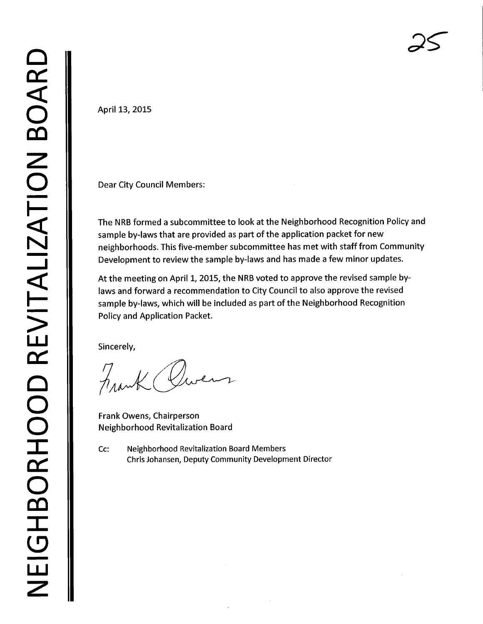April 13, 2015

Dear City Council Members:

The NRB formed a subcommittee to look at the Neighborhood Recognition Policy and sample by-laws that are provided as part of the application packet for new neighborhoods. This five-member subcommittee has met with staff from Community Development to review the sample by-laws and has made a few minor updates.

At the meeting on April 1, 2015, the NRB voted to approve the revised sample bylaws and forward a recommendation to City Council to also approve the revised sample by-laws, which will be included as part of the Neighborhood Recognition Policy and Application Packet.

Sincerely,

Frank Owen

Frank Owens, Chairperson Neighborhood Revitalization Board

Cc: Neighborhood Revitalization Board Members Chris Johansen, Deputy Community Development Director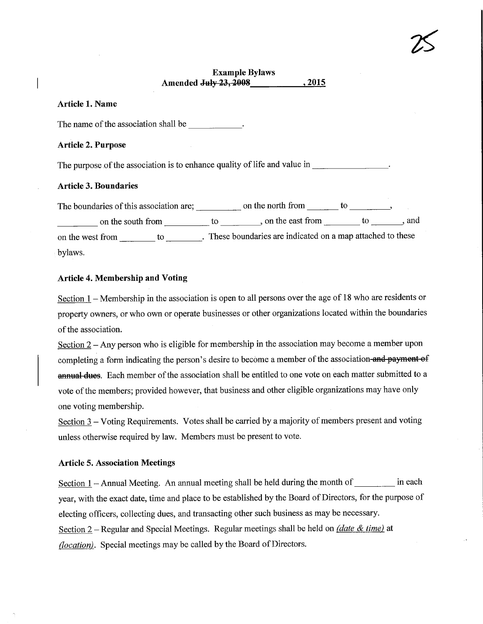# Example Bylaws Amended July 23,2008 \_.2015

 $25^{\circ}$ 

### Article 1. Name

The name of the association shall be  $\cdot$ 

#### Article 2. Purpose

The purpose of the association is to enhance quality of life and value in

#### Article 3. Boundaries

The boundaries of this association are;  $\frac{1}{1-\frac{1}{\sqrt{1-\frac{1}{\sqrt{1-\frac{1}{\sqrt{1-\frac{1}{\sqrt{1-\frac{1}{\sqrt{1-\frac{1}{\sqrt{1-\frac{1}{\sqrt{1-\frac{1}{\sqrt{1-\frac{1}{\sqrt{1-\frac{1}{\sqrt{1-\frac{1}{\sqrt{1-\frac{1}{\sqrt{1-\frac{1}{\sqrt{1-\frac{1}{\sqrt{1-\frac{1}{\sqrt{1-\frac{1}{\sqrt{1-\frac{1}{\sqrt{1-\frac{1}{\sqrt{1-\frac{1}{\sqrt{1-\frac{$ on the south from to to be seen to to the east from the end of the south from the south from the south from the south from the east from the south from the south from the south from the south from the south from the south on the west from \_\_\_\_\_\_\_\_ to \_\_\_\_\_\_\_. These boundaries are indicated on a map attached to these bylaws.

### Article 4. Membership and Voting

Section  $1$  – Membership in the association is open to all persons over the age of 18 who are residents or property owners, or who own or operate businesses or other organizations located within the boundaries of the association.

Section  $2 - Any$  person who is eligible for membership in the association may become a member upon completing a form indicating the person's desire to become a member of the association-and payment of annual dues. Each member of the association shall be entitled to one vote on each matter submitted to a vote of the members; provided however, that business and other eligible organizations may have only one voting membership.

Section 3 – Voting Requirements. Votes shall be carried by a majority of members present and voting unless otherwise required by law. Members must be present to vote.

#### Article 5. Association Meetings

Section  $1 -$  Annual Meeting. An annual meeting shall be held during the month of  $\quad$  in each year, with the exact date, time and place to be established by the Board of Directors, for the purpose of electing officers, collecting dues, and transacting other such business as may be necessary. Section  $2$  – Regular and Special Meetings. Regular meetings shall be held on *(date & time)* at (*location*). Special meetings may be called by the Board of Directors.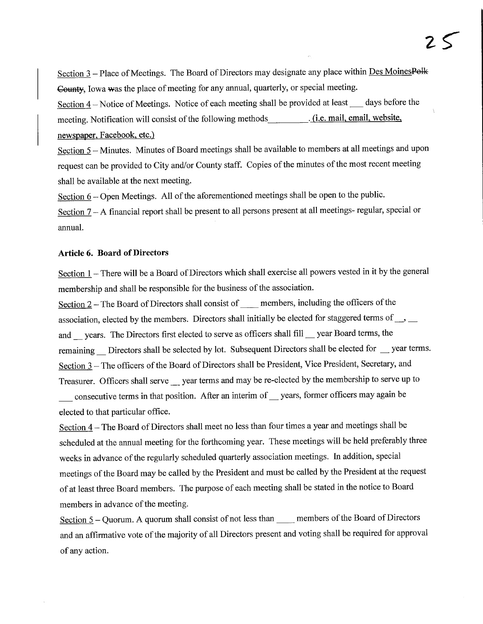Section 3 - Place of Meetings. The Board of Directors may designate any place within Des MoinesPelk County, Iowa was the place of meeting for any annual, quarterly, or special meeting.

Section  $4$  – Notice of Meetings. Notice of each meeting shall be provided at least days before the meeting. Notification will consist of the following methods (i.e. mail, email, website, newspaper, Facebook. etc.)

Section 5 – Minutes. Minutes of Board meetings shall be available to members at all meetings and upon request can be provided to City and/or County staff. Copies of the minutes of the most recent meeting shall be available at the next meeting.

Section  $6 -$ Open Meetings. All of the aforementioned meetings shall be open to the public.

Section 7 - A financial report shall be present to all persons present at all meetings- regular, special or annual.

#### Article 6. Board of Directors

Section  $1$  – There will be a Board of Directors which shall exercise all powers vested in it by the general membership and shall be responsible for the business of the association.

Section 2 – The Board of Directors shall consist of members, including the officers of the association, elected by the members. Directors shall initially be elected for staggered terms of  $\Box$ and \_ years. The Directors first elected to serve as officers shall fill \_ year Board terms, the remaining \_ Directors shall be selected by lot. Subsequent Directors shall be elected for \_ year terms. Section  $3$  – The officers of the Board of Directors shall be President, Vice President, Secretary, and Treasurer. Officers shall serve superferences and may be re-elected by the membership to serve up to consecutive terms in that position. After an interim of years, former officers may again be elected to that particular office.

Section 4 - The Board of Directors shall meet no less than four times a year and meetings shall be scheduled at the annual meeting for the forthcoming year. These meetings will be held preferably three weeks in advance of the regularly scheduled quarterly association meetings. In addition, special meetings of the Board may be called by the President and must be called by the President at the request of at least three Board members. The purpose of each meeting shall be stated in the notice to Board members in advance of the meeting.

Section  $5 -$ Quorum. A quorum shall consist of not less than  $\_\_\_\_\$ members of the Board of Directors and an affirmative vote of the majority of all Directors present and voting shall be required for approval of any action.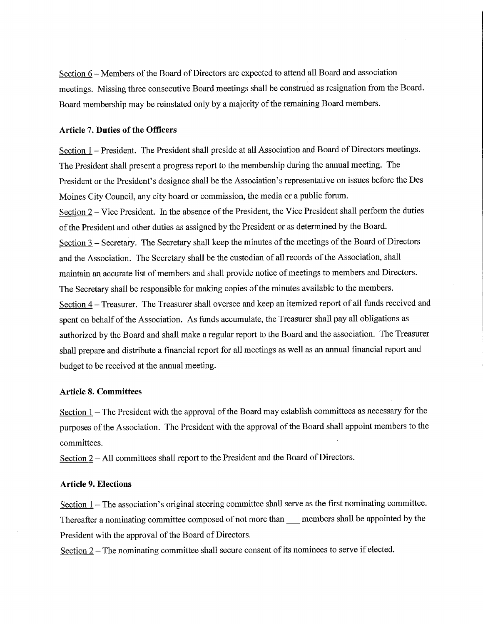Section  $6$  – Members of the Board of Directors are expected to attend all Board and association meetings. Missing three consecutive Board meetings shall be construed as resignation from the Board. Board membership may be reinstated only by a majority of the remaining Board members.

#### Article 7. Duties of the Officers

Section 1 - President. The President shall preside at all Association and Board of Directors meetings. The President shall present a progress report to the membership during the annual meeting. The President or the President's designee shall be the Association's representative on issues before the Des Moines City Council, any city board or commission, the media or a public forum. Section 2 – Vice President. In the absence of the President, the Vice President shall perform the duties of the President and other duties as assigned by the President or as determined by the Board. Section 3 – Secretary. The Secretary shall keep the minutes of the meetings of the Board of Directors and the Association. The Secretary shall be the custodian of all records of the Association, shall maintain an accurate list of members and shall provide notice of meetings to members and Directors. The Secretary shall be responsible for making copies of the minutes available to the members. Section 4 - Treasurer. The Treasurer shall oversee and keep an itemized report of all funds received and spent on behalf of the Association. As funds accumulate, the Treasurer shall pay all obligations as authorized by the Board and shall make a regular report to the Board and the association. The Treasurer shall prepare and distribute a financial report for all meetings as well as an annual financial report and budget to be received at the annual meeting.

#### Article 8. Committees

Section 1 – The President with the approval of the Board may establish committees as necessary for the purposes of the Association. The President with the approval of the Board shall appoint members to the committees.

Section 2 – All committees shall report to the President and the Board of Directors.

#### Article 9. Elections

Section  $1$  – The association's original steering committee shall serve as the first nominating committee. Thereafter a nominating committee composed of not more than emembers shall be appointed by the President with the approval of the Board of Directors.

Section  $2 -$  The nominating committee shall secure consent of its nominees to serve if elected.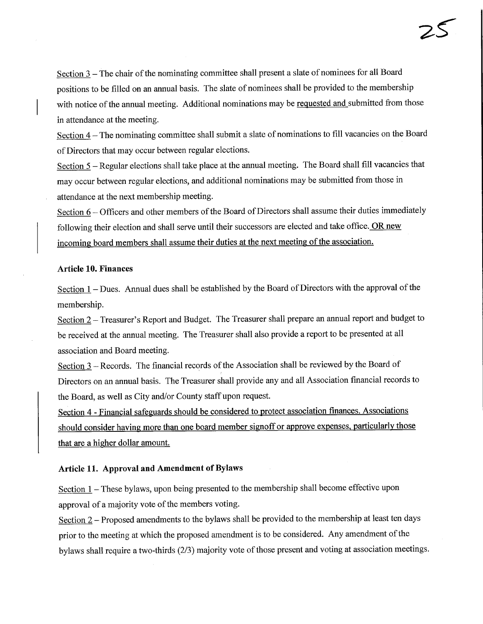Section 3 – The chair of the nominating committee shall present a slate of nominees for all Board positions to be filled on an annual basis. The slate of nominees shall be provided to the membership with notice of the annual meeting. Additional nominations may be requested and submitted from those in attendance at the meeting.

Section  $4$  – The nominating committee shall submit a slate of nominations to fill vacancies on the Board of Directors that may occur between regular elections.

Section 5 – Regular elections shall take place at the annual meeting. The Board shall fill vacancies that may occur between regular elections, and additional nominations may be submitted from those in attendance at the next membership meeting.

Section 6 - Officers and other members of the Board of Directors shall assume their duties immediately following their election and shall serve until their successors are elected and take office. OR new incoming board members shall assume their duties at the next meeting of the association.

## Article 10. Finances

Section  $1$  – Dues. Annual dues shall be established by the Board of Directors with the approval of the membership.

Section 2 - Treasurer's Report and Budget. The Treasurer shall prepare an annual report and budget to be received at the annual meeting. The Treasurer shall also provide a report to be presented at all association and Board meeting.

Section 3 - Records. The financial records of the Association shall be reviewed by the Board of Directors on an annual basis. The Treasurer shall provide any and all Association financial records to the Board, as well as City and/or County staff upon request.

Section 4 - Financial safeguards should be considered to protect association finances. Associations should consider having more than one board member signoff or approve expenses, particularly those that are a higher dollar amount.

# Article 11. Approval and Amendment of Bylaws

Section  $1$  – These bylaws, upon being presented to the membership shall become effective upon approval of a majority vote of the members voting.

Section 2 – Proposed amendments to the bylaws shall be provided to the membership at least ten days prior to the meeting at which the proposed amendment is to be considered. Any amendment of the bylaws shall require a two-thirds (2/3) majority vote of those present and voting at association meetings.